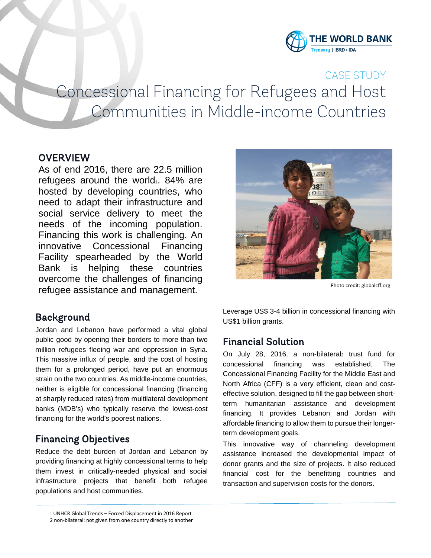

CASE STUDY Concessional Financing for Refugees and Host Communities in Middle-income Countries

## **OVERVIEW**

As of end 2016, there are 22.5 million refugees around the world.  $84\%$  are hosted by developing countries, who need to adapt their infrastructure and social service delivery to meet the needs of the incoming population. Financing this work is challenging. An innovative Concessional Financing Facility spearheaded by the World Bank is helping these countries overcome the challenges of financing refugee assistance and management.

## Background

Jordan and Lebanon have performed a vital global public good by opening their borders to more than two million refugees fleeing war and oppression in Syria. This massive influx of people, and the cost of hosting them for a prolonged period, have put an enormous strain on the two countries. As middle-income countries, neither is eligible for concessional financing (financing at sharply reduced rates) from multilateral development banks (MDB's) who typically reserve the lowest-cost financing for the world's poorest nations.

# Financing Objectives

Reduce the debt burden of Jordan and Lebanon by providing financing at highly concessional terms to help them invest in critically-needed physical and social infrastructure projects that benefit both refugee populations and host communities.



Photo credit: globalcff.org

Leverage US\$ 3-4 billion in concessional financing with US\$1 billion grants.

# Financial Solution

On July 28, 2016, a non-bilateral<sub>2</sub> trust fund for concessional financing was established. The Concessional Financing Facility for the Middle East and North Africa (CFF) is a very efficient, clean and costeffective solution, designed to fill the gap between shortterm humanitarian assistance and development financing. It provides Lebanon and Jordan with affordable financing to allow them to pursue their longerterm development goals.

This innovative way of channeling development assistance increased the developmental impact of donor grants and the size of projects. It also reduced financial cost for the benefitting countries and transaction and supervision costs for the donors.

<sup>1</sup> UNHCR Global Trends – Forced Displacement in 2016 Report

<sup>2</sup> non-bilateral: not given from one country directly to another